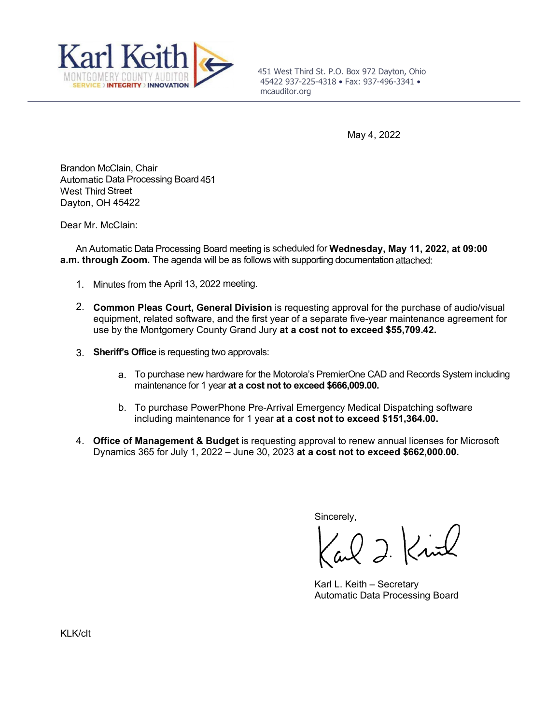

451 West Third St. P.O. Box 972 Dayton, Ohio 45422 937-225-4318 • Fax: 937-496-3341 • mcauditor.org

May 4, 2022

Brandon McClain, Chair Automatic Data Processing Board 451 West Third Street Dayton, OH 45422

Dear Mr. McClain:

An Automatic Data Processing Board meeting is scheduled for **Wednesday, May 11, 2022, at 09:00 a.m. through Zoom.** The agenda will be as follows with supporting documentation attached:

- 1. Minutes from the April 13, 2022 meeting.
- 2. **Common Pleas Court, General Division** is requesting approval for the purchase of audio/visual equipment, related software, and the first year of a separate five-year maintenance agreement for use by the Montgomery County Grand Jury **at a cost not to exceed \$55,709.42.**
- 3. **Sheriff's Office** is requesting two approvals:
	- a. To purchase new hardware for the Motorola's PremierOne CAD and Records System including maintenance for 1 year **at a cost not to exceed \$666,009.00.**
	- b. To purchase PowerPhone Pre-Arrival Emergency Medical Dispatching software including maintenance for 1 year **at a cost not to exceed \$151,364.00.**
- 4. **Office of Management & Budget** is requesting approval to renew annual licenses for Microsoft Dynamics 365 for July 1, 2022 – June 30, 2023 **at a cost not to exceed \$662,000.00.**

Sincerely,

 $Q$  ). Kink

Karl L. Keith – Secretary Automatic Data Processing Board

KLK/clt